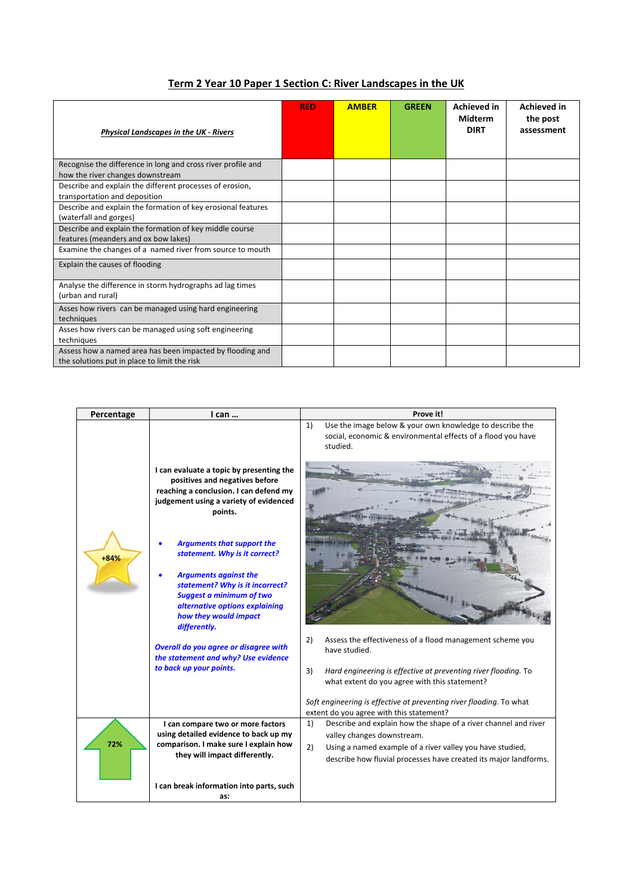| <b>Physical Landscapes in the UK - Rivers</b>                | <b>RED</b> | <b>AMBER</b> | <b>GREEN</b> | <b>Achieved in</b><br><b>Midterm</b><br><b>DIRT</b> | <b>Achieved in</b><br>the post<br>assessment |
|--------------------------------------------------------------|------------|--------------|--------------|-----------------------------------------------------|----------------------------------------------|
| Recognise the difference in long and cross river profile and |            |              |              |                                                     |                                              |
| how the river changes downstream                             |            |              |              |                                                     |                                              |
| Describe and explain the different processes of erosion,     |            |              |              |                                                     |                                              |
| transportation and deposition                                |            |              |              |                                                     |                                              |
| Describe and explain the formation of key erosional features |            |              |              |                                                     |                                              |
| (waterfall and gorges)                                       |            |              |              |                                                     |                                              |
| Describe and explain the formation of key middle course      |            |              |              |                                                     |                                              |

features (meanders and ox bow lakes)

the solutions put in place to limit the risk

Explain the causes of flooding

(urban and rural)

techniques

techniques

Examine the changes of a named river from source to mouth

Analyse the difference in storm hydrographs ad lag times

Asses how rivers can be managed using hard engineering

Asses how rivers can be managed using soft engineering

Assess how a named area has been impacted by flooding and

## **Term 2 Year 10 Paper 1 Section C: River Landscapes in the UK**

| Percentage | I can                                                                                                                                                                                                                                                                                                                                                                                                                                                                                                                                       | Prove it!                                                                                                                                                                                                                                                                                                                                                                                                                                                                  |  |  |
|------------|---------------------------------------------------------------------------------------------------------------------------------------------------------------------------------------------------------------------------------------------------------------------------------------------------------------------------------------------------------------------------------------------------------------------------------------------------------------------------------------------------------------------------------------------|----------------------------------------------------------------------------------------------------------------------------------------------------------------------------------------------------------------------------------------------------------------------------------------------------------------------------------------------------------------------------------------------------------------------------------------------------------------------------|--|--|
| $+84%$     | I can evaluate a topic by presenting the<br>positives and negatives before<br>reaching a conclusion. I can defend my<br>judgement using a variety of evidenced<br>points.<br><b>Arguments that support the</b><br>statement. Why is it correct?<br><b>Arguments against the</b><br>statement? Why is it incorrect?<br><b>Suggest a minimum of two</b><br>alternative options explaining<br>how they would impact<br>differently.<br>Overall do you agree or disagree with<br>the statement and why? Use evidence<br>to back up your points. | Use the image below & your own knowledge to describe the<br>1)<br>social, economic & environmental effects of a flood you have<br>studied.<br>Assess the effectiveness of a flood management scheme you<br>2)<br>have studied.<br>3)<br>Hard engineering is effective at preventing river flooding. To<br>what extent do you agree with this statement?<br>Soft engineering is effective at preventing river flooding. To what<br>extent do you agree with this statement? |  |  |
| 72%        | I can compare two or more factors<br>using detailed evidence to back up my<br>comparison. I make sure I explain how<br>they will impact differently.                                                                                                                                                                                                                                                                                                                                                                                        | Describe and explain how the shape of a river channel and river<br>1)<br>valley changes downstream.<br>2)<br>Using a named example of a river valley you have studied,<br>describe how fluvial processes have created its major landforms.                                                                                                                                                                                                                                 |  |  |
|            | I can break information into parts, such<br>as:                                                                                                                                                                                                                                                                                                                                                                                                                                                                                             |                                                                                                                                                                                                                                                                                                                                                                                                                                                                            |  |  |